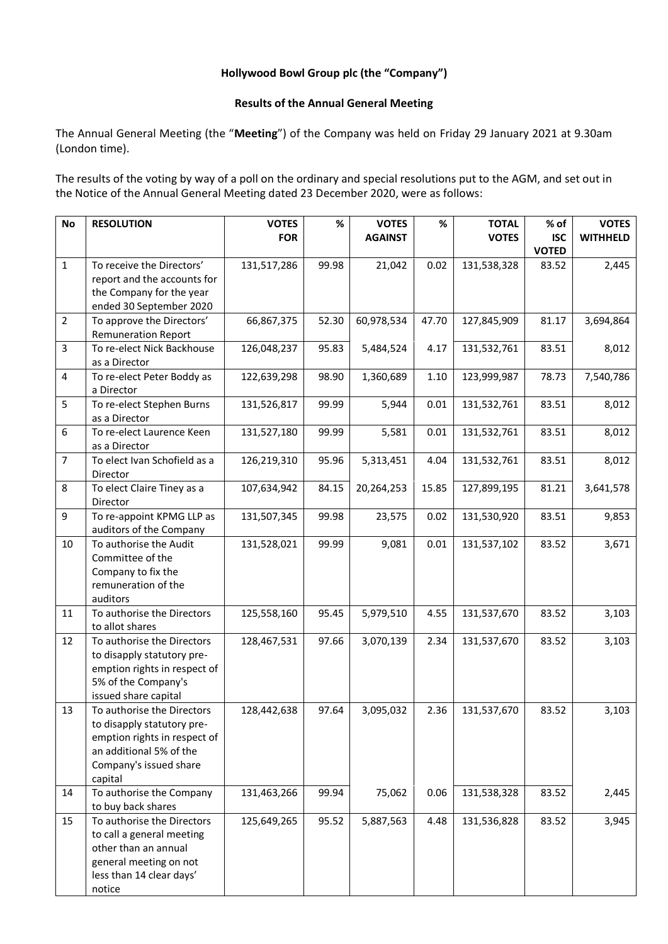# **Hollywood Bowl Group plc (the "Company")**

### **Results of the Annual General Meeting**

The Annual General Meeting (the "**Meeting**") of the Company was held on Friday 29 January 2021 at 9.30am (London time).

The results of the voting by way of a poll on the ordinary and special resolutions put to the AGM, and set out in the Notice of the Annual General Meeting dated 23 December 2020, were as follows:

| <b>No</b>      | <b>RESOLUTION</b>                                          | <b>VOTES</b> | %     | <b>VOTES</b>   | $\%$  | <b>TOTAL</b> | % of         | <b>VOTES</b>    |
|----------------|------------------------------------------------------------|--------------|-------|----------------|-------|--------------|--------------|-----------------|
|                |                                                            | <b>FOR</b>   |       | <b>AGAINST</b> |       | <b>VOTES</b> | <b>ISC</b>   | <b>WITHHELD</b> |
|                |                                                            |              |       |                |       |              | <b>VOTED</b> |                 |
| $\mathbf{1}$   | To receive the Directors'                                  | 131,517,286  | 99.98 | 21,042         | 0.02  | 131,538,328  | 83.52        | 2,445           |
|                | report and the accounts for                                |              |       |                |       |              |              |                 |
|                | the Company for the year                                   |              |       |                |       |              |              |                 |
|                | ended 30 September 2020                                    |              |       |                |       |              |              |                 |
| $\overline{2}$ | To approve the Directors'                                  | 66,867,375   | 52.30 | 60,978,534     | 47.70 | 127,845,909  | 81.17        | 3,694,864       |
|                | <b>Remuneration Report</b>                                 |              |       |                |       |              |              |                 |
| $\overline{3}$ | To re-elect Nick Backhouse                                 | 126,048,237  | 95.83 | 5,484,524      | 4.17  | 131,532,761  | 83.51        | 8,012           |
|                | as a Director                                              |              |       |                |       |              |              |                 |
| $\overline{4}$ | To re-elect Peter Boddy as                                 | 122,639,298  | 98.90 | 1,360,689      | 1.10  | 123,999,987  | 78.73        | 7,540,786       |
|                | a Director                                                 |              |       |                |       |              |              |                 |
| 5              | To re-elect Stephen Burns<br>as a Director                 | 131,526,817  | 99.99 | 5,944          | 0.01  | 131,532,761  | 83.51        | 8,012           |
| 6              | To re-elect Laurence Keen                                  | 131,527,180  | 99.99 | 5,581          | 0.01  | 131,532,761  | 83.51        | 8,012           |
|                | as a Director                                              |              |       |                |       |              |              |                 |
| $\overline{7}$ | To elect Ivan Schofield as a                               | 126,219,310  | 95.96 | 5,313,451      | 4.04  | 131,532,761  | 83.51        | 8,012           |
|                | Director                                                   |              |       |                |       |              |              |                 |
| 8              | To elect Claire Tiney as a                                 | 107,634,942  | 84.15 | 20,264,253     | 15.85 | 127,899,195  | 81.21        | 3,641,578       |
|                | Director                                                   |              |       |                |       |              |              |                 |
| 9              | To re-appoint KPMG LLP as                                  | 131,507,345  | 99.98 | 23,575         | 0.02  | 131,530,920  | 83.51        | 9,853           |
|                | auditors of the Company                                    |              |       |                |       |              |              |                 |
| 10             | To authorise the Audit                                     | 131,528,021  | 99.99 | 9,081          | 0.01  | 131,537,102  | 83.52        | 3,671           |
|                | Committee of the                                           |              |       |                |       |              |              |                 |
|                | Company to fix the                                         |              |       |                |       |              |              |                 |
|                | remuneration of the                                        |              |       |                |       |              |              |                 |
|                | auditors                                                   |              |       |                |       |              |              |                 |
| 11             | To authorise the Directors                                 | 125,558,160  | 95.45 | 5,979,510      | 4.55  | 131,537,670  | 83.52        | 3,103           |
|                | to allot shares                                            |              |       |                |       |              |              |                 |
| 12             | To authorise the Directors                                 | 128,467,531  | 97.66 | 3,070,139      | 2.34  | 131,537,670  | 83.52        | 3,103           |
|                | to disapply statutory pre-<br>emption rights in respect of |              |       |                |       |              |              |                 |
|                | 5% of the Company's                                        |              |       |                |       |              |              |                 |
|                | issued share capital                                       |              |       |                |       |              |              |                 |
| 13             | To authorise the Directors                                 | 128,442,638  | 97.64 | 3,095,032      | 2.36  | 131,537,670  | 83.52        | 3,103           |
|                | to disapply statutory pre-                                 |              |       |                |       |              |              |                 |
|                | emption rights in respect of                               |              |       |                |       |              |              |                 |
|                | an additional 5% of the                                    |              |       |                |       |              |              |                 |
|                | Company's issued share                                     |              |       |                |       |              |              |                 |
|                | capital                                                    |              |       |                |       |              |              |                 |
| 14             | To authorise the Company                                   | 131,463,266  | 99.94 | 75,062         | 0.06  | 131,538,328  | 83.52        | 2,445           |
|                | to buy back shares                                         |              |       |                |       |              |              |                 |
| 15             | To authorise the Directors                                 | 125,649,265  | 95.52 | 5,887,563      | 4.48  | 131,536,828  | 83.52        | 3,945           |
|                | to call a general meeting                                  |              |       |                |       |              |              |                 |
|                | other than an annual                                       |              |       |                |       |              |              |                 |
|                | general meeting on not                                     |              |       |                |       |              |              |                 |
|                | less than 14 clear days'                                   |              |       |                |       |              |              |                 |
|                | notice                                                     |              |       |                |       |              |              |                 |